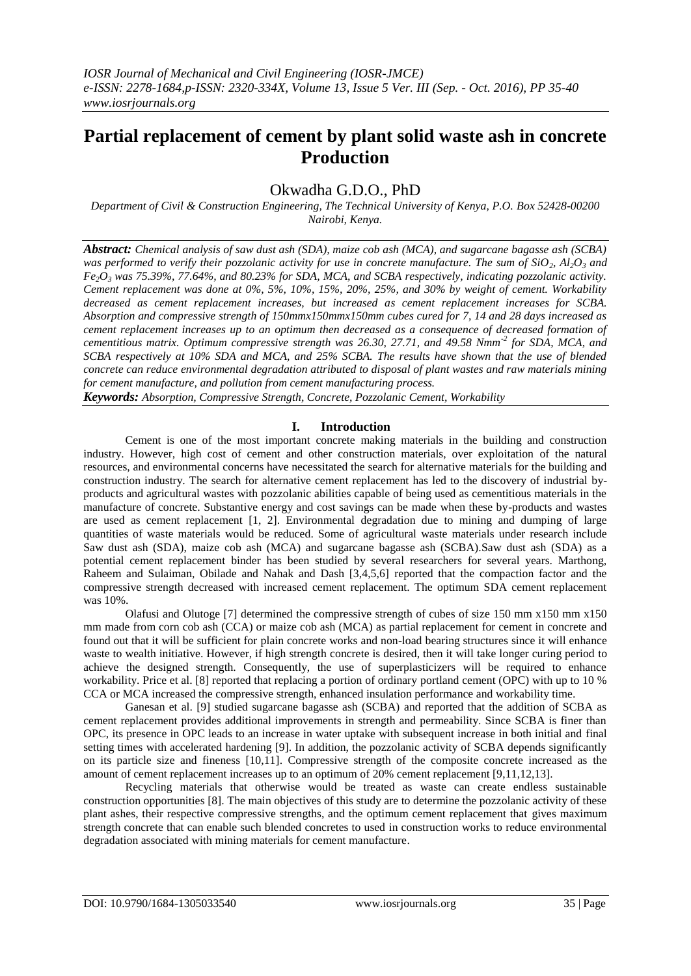# **Partial replacement of cement by plant solid waste ash in concrete Production**

# Okwadha G.D.O., PhD

*Department of Civil & Construction Engineering, The Technical University of Kenya, P.O. Box 52428-00200 Nairobi, Kenya.*

*Abstract: Chemical analysis of saw dust ash (SDA), maize cob ash (MCA), and sugarcane bagasse ash (SCBA) was performed to verify their pozzolanic activity for use in concrete manufacture. The sum of*  $SiO_2$ *,*  $Al_2O_3$  *and Fe2O<sup>3</sup> was 75.39%, 77.64%, and 80.23% for SDA, MCA, and SCBA respectively, indicating pozzolanic activity. Cement replacement was done at 0%, 5%, 10%, 15%, 20%, 25%, and 30% by weight of cement. Workability decreased as cement replacement increases, but increased as cement replacement increases for SCBA. Absorption and compressive strength of 150mmx150mmx150mm cubes cured for 7, 14 and 28 days increased as cement replacement increases up to an optimum then decreased as a consequence of decreased formation of cementitious matrix. Optimum compressive strength was 26.30, 27.71, and 49.58 Nmm-2 for SDA, MCA, and SCBA respectively at 10% SDA and MCA, and 25% SCBA. The results have shown that the use of blended concrete can reduce environmental degradation attributed to disposal of plant wastes and raw materials mining for cement manufacture, and pollution from cement manufacturing process.*

*Keywords: Absorption, Compressive Strength, Concrete, Pozzolanic Cement, Workability*

# **I. Introduction**

Cement is one of the most important concrete making materials in the building and construction industry. However, high cost of cement and other construction materials, over exploitation of the natural resources, and environmental concerns have necessitated the search for alternative materials for the building and construction industry. The search for alternative cement replacement has led to the discovery of industrial byproducts and agricultural wastes with pozzolanic abilities capable of being used as cementitious materials in the manufacture of concrete. Substantive energy and cost savings can be made when these by-products and wastes are used as cement replacement [1, 2]. Environmental degradation due to mining and dumping of large quantities of waste materials would be reduced. Some of agricultural waste materials under research include Saw dust ash (SDA), maize cob ash (MCA) and sugarcane bagasse ash (SCBA).Saw dust ash (SDA) as a potential cement replacement binder has been studied by several researchers for several years. Marthong, Raheem and Sulaiman, Obilade and Nahak and Dash [3,4,5,6] reported that the compaction factor and the compressive strength decreased with increased cement replacement. The optimum SDA cement replacement was 10%.

Olafusi and Olutoge [7] determined the compressive strength of cubes of size 150 mm x150 mm x150 mm made from corn cob ash (CCA) or maize cob ash (MCA) as partial replacement for cement in concrete and found out that it will be sufficient for plain concrete works and non-load bearing structures since it will enhance waste to wealth initiative. However, if high strength concrete is desired, then it will take longer curing period to achieve the designed strength. Consequently, the use of superplasticizers will be required to enhance workability. Price et al. [8] reported that replacing a portion of ordinary portland cement (OPC) with up to 10 % CCA or MCA increased the compressive strength, enhanced insulation performance and workability time.

Ganesan et al. [9] studied sugarcane bagasse ash (SCBA) and reported that the addition of SCBA as cement replacement provides additional improvements in strength and permeability. Since SCBA is finer than OPC, its presence in OPC leads to an increase in water uptake with subsequent increase in both initial and final setting times with accelerated hardening [9]. In addition, the pozzolanic activity of SCBA depends significantly on its particle size and fineness [10,11]. Compressive strength of the composite concrete increased as the amount of cement replacement increases up to an optimum of 20% cement replacement [9,11,12,13].

Recycling materials that otherwise would be treated as waste can create endless sustainable construction opportunities [8]. The main objectives of this study are to determine the pozzolanic activity of these plant ashes, their respective compressive strengths, and the optimum cement replacement that gives maximum strength concrete that can enable such blended concretes to used in construction works to reduce environmental degradation associated with mining materials for cement manufacture.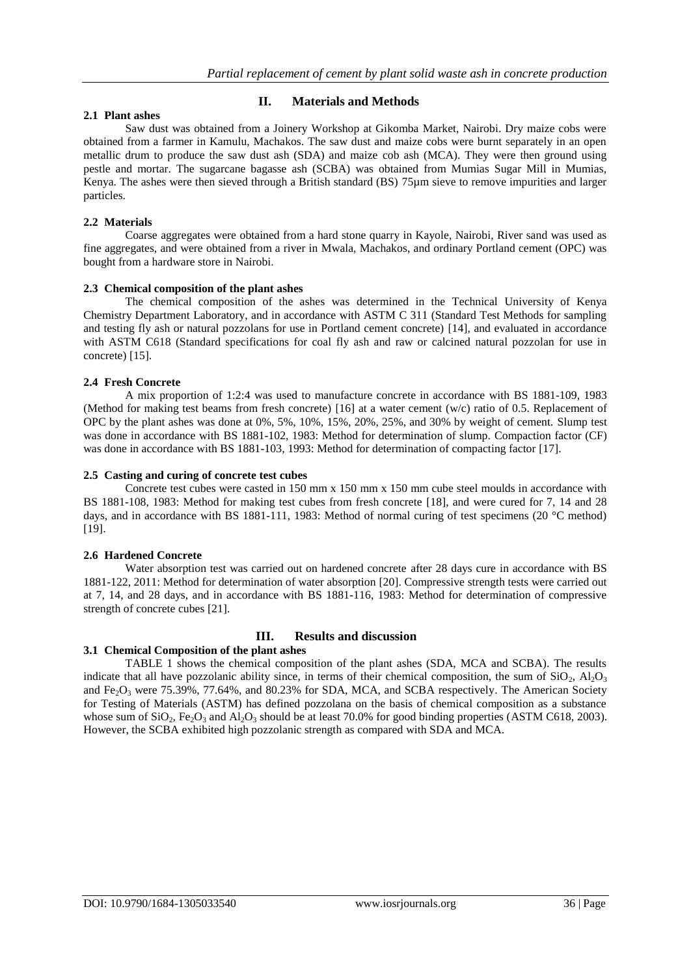# **II. Materials and Methods**

# **2.1 Plant ashes**

Saw dust was obtained from a Joinery Workshop at Gikomba Market, Nairobi. Dry maize cobs were obtained from a farmer in Kamulu, Machakos. The saw dust and maize cobs were burnt separately in an open metallic drum to produce the saw dust ash (SDA) and maize cob ash (MCA). They were then ground using pestle and mortar. The sugarcane bagasse ash (SCBA) was obtained from Mumias Sugar Mill in Mumias, Kenya. The ashes were then sieved through a British standard (BS) 75µm sieve to remove impurities and larger particles.

#### **2.2 Materials**

Coarse aggregates were obtained from a hard stone quarry in Kayole, Nairobi, River sand was used as fine aggregates, and were obtained from a river in Mwala, Machakos, and ordinary Portland cement (OPC) was bought from a hardware store in Nairobi.

#### **2.3 Chemical composition of the plant ashes**

The chemical composition of the ashes was determined in the Technical University of Kenya Chemistry Department Laboratory, and in accordance with ASTM C 311 (Standard Test Methods for sampling and testing fly ash or natural pozzolans for use in Portland cement concrete) [14], and evaluated in accordance with ASTM C618 (Standard specifications for coal fly ash and raw or calcined natural pozzolan for use in concrete) [15].

# **2.4 Fresh Concrete**

A mix proportion of 1:2:4 was used to manufacture concrete in accordance with BS 1881-109, 1983 (Method for making test beams from fresh concrete) [16] at a water cement (w/c) ratio of 0.5. Replacement of OPC by the plant ashes was done at 0%, 5%, 10%, 15%, 20%, 25%, and 30% by weight of cement. Slump test was done in accordance with BS 1881-102, 1983: Method for determination of slump. Compaction factor (CF) was done in accordance with BS 1881-103, 1993: Method for determination of compacting factor [17].

#### **2.5 Casting and curing of concrete test cubes**

Concrete test cubes were casted in 150 mm x 150 mm x 150 mm cube steel moulds in accordance with BS 1881-108, 1983: Method for making test cubes from fresh concrete [18], and were cured for 7, 14 and 28 days, and in accordance with BS 1881-111, 1983: Method of normal curing of test specimens (20 °C method) [19].

#### **2.6 Hardened Concrete**

Water absorption test was carried out on hardened concrete after 28 days cure in accordance with BS 1881-122, 2011: Method for determination of water absorption [20]. Compressive strength tests were carried out at 7, 14, and 28 days, and in accordance with BS 1881-116, 1983: Method for determination of compressive strength of concrete cubes [21].

# **III. Results and discussion**

#### **3.1 Chemical Composition of the plant ashes**

TABLE 1 shows the chemical composition of the plant ashes (SDA, MCA and SCBA). The results indicate that all have pozzolanic ability since, in terms of their chemical composition, the sum of  $SiO_2$ ,  $Al_2O_3$ and Fe<sub>2</sub>O<sub>3</sub> were 75.39%, 77.64%, and 80.23% for SDA, MCA, and SCBA respectively. The American Society for Testing of Materials (ASTM) has defined pozzolana on the basis of chemical composition as a substance whose sum of  $SiO_2$ ,  $Fe_2O_3$  and  $Al_2O_3$  should be at least 70.0% for good binding properties (ASTM C618, 2003). However, the SCBA exhibited high pozzolanic strength as compared with SDA and MCA.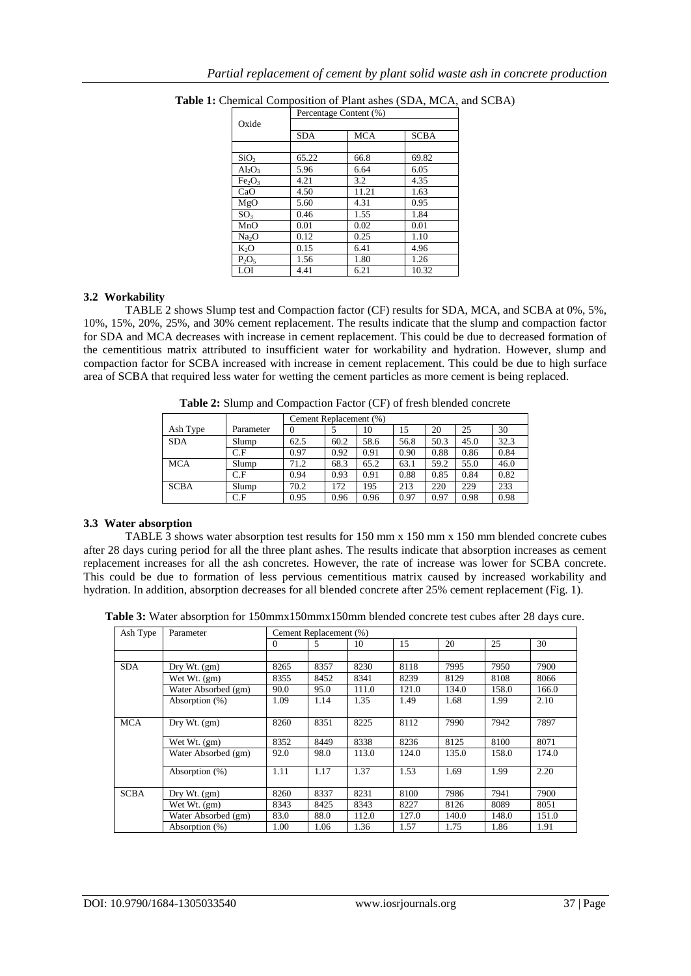|                                | Percentage Content (%) |            |             |  |  |  |
|--------------------------------|------------------------|------------|-------------|--|--|--|
| Oxide                          | <b>SDA</b>             | <b>MCA</b> | <b>SCBA</b> |  |  |  |
|                                |                        |            |             |  |  |  |
| SiO <sub>2</sub>               | 65.22                  | 66.8       | 69.82       |  |  |  |
| $Al_2O_3$                      | 5.96                   | 6.64       | 6.05        |  |  |  |
| Fe <sub>2</sub> O <sub>3</sub> | 4.21                   | 3.2        | 4.35        |  |  |  |
| CaO                            | 4.50                   | 11.21      | 1.63        |  |  |  |
| MgO                            | 5.60                   | 4.31       | 0.95        |  |  |  |
| SO <sub>3</sub>                | 0.46                   | 1.55       | 1.84        |  |  |  |
| MnO                            | 0.01                   | 0.02       | 0.01        |  |  |  |
| Na <sub>2</sub> O              | 0.12                   | 0.25       | 1.10        |  |  |  |
| K <sub>2</sub> O               | 0.15                   | 6.41       | 4.96        |  |  |  |
| $P_2O_5$                       | 1.56                   | 1.80       | 1.26        |  |  |  |
| LOI                            | 4.41                   | 6.21       | 10.32       |  |  |  |

**Table 1:** Chemical Composition of Plant ashes (SDA, MCA, and SCBA)

#### **3.2 Workability**

TABLE 2 shows Slump test and Compaction factor (CF) results for SDA, MCA, and SCBA at 0%, 5%, 10%, 15%, 20%, 25%, and 30% cement replacement. The results indicate that the slump and compaction factor for SDA and MCA decreases with increase in cement replacement. This could be due to decreased formation of the cementitious matrix attributed to insufficient water for workability and hydration. However, slump and compaction factor for SCBA increased with increase in cement replacement. This could be due to high surface area of SCBA that required less water for wetting the cement particles as more cement is being replaced.

**Table 2:** Slump and Compaction Factor (CF) of fresh blended concrete

|             |           | Cement Replacement (%) |      |      |      |      |      |      |  |
|-------------|-----------|------------------------|------|------|------|------|------|------|--|
| Ash Type    | Parameter |                        |      | 10   | 15   | 20   | 25   | 30   |  |
| <b>SDA</b>  | Slump     | 62.5                   | 60.2 | 58.6 | 56.8 | 50.3 | 45.0 | 32.3 |  |
|             | C.F       | 0.97                   | 0.92 | 0.91 | 0.90 | 0.88 | 0.86 | 0.84 |  |
| <b>MCA</b>  | Slump     | 71.2                   | 68.3 | 65.2 | 63.1 | 59.2 | 55.0 | 46.0 |  |
|             | C.F       | 0.94                   | 0.93 | 0.91 | 0.88 | 0.85 | 0.84 | 0.82 |  |
| <b>SCBA</b> | Slump     | 70.2                   | 172  | 195  | 213  | 220  | 229  | 233  |  |
|             | C.F       | 0.95                   | 0.96 | 0.96 | 0.97 | 0.97 | 0.98 | 0.98 |  |

#### **3.3 Water absorption**

TABLE 3 shows water absorption test results for 150 mm x 150 mm x 150 mm blended concrete cubes after 28 days curing period for all the three plant ashes. The results indicate that absorption increases as cement replacement increases for all the ash concretes. However, the rate of increase was lower for SCBA concrete. This could be due to formation of less pervious cementitious matrix caused by increased workability and hydration. In addition, absorption decreases for all blended concrete after 25% cement replacement (Fig. 1).

**Table 3:** Water absorption for 150mmx150mmx150mm blended concrete test cubes after 28 days cure.

| Ash Type    | Parameter           | Cement Replacement (%) |      |       |       |       |       |       |
|-------------|---------------------|------------------------|------|-------|-------|-------|-------|-------|
|             |                     | 0                      | 5    | 10    | 15    | 20    | 25    | 30    |
|             |                     |                        |      |       |       |       |       |       |
| SDA         | $Drv Wt.$ (gm)      | 8265                   | 8357 | 8230  | 8118  | 7995  | 7950  | 7900  |
|             | Wet Wt. (gm)        | 8355                   | 8452 | 8341  | 8239  | 8129  | 8108  | 8066  |
|             | Water Absorbed (gm) | 90.0                   | 95.0 | 111.0 | 121.0 | 134.0 | 158.0 | 166.0 |
|             | Absorption (%)      | 1.09                   | 1.14 | 1.35  | 1.49  | 1.68  | 1.99  | 2.10  |
| <b>MCA</b>  | Dry Wt. (gm)        | 8260                   | 8351 | 8225  | 8112  | 7990  | 7942  | 7897  |
|             | Wet Wt. (gm)        | 8352                   | 8449 | 8338  | 8236  | 8125  | 8100  | 8071  |
|             | Water Absorbed (gm) | 92.0                   | 98.0 | 113.0 | 124.0 | 135.0 | 158.0 | 174.0 |
|             | Absorption (%)      | 1.11                   | 1.17 | 1.37  | 1.53  | 1.69  | 1.99  | 2.20  |
| <b>SCBA</b> | Dry Wt. $(gm)$      | 8260                   | 8337 | 8231  | 8100  | 7986  | 7941  | 7900  |
|             | Wet Wt. (gm)        | 8343                   | 8425 | 8343  | 8227  | 8126  | 8089  | 8051  |
|             | Water Absorbed (gm) | 83.0                   | 88.0 | 112.0 | 127.0 | 140.0 | 148.0 | 151.0 |
|             | Absorption (%)      | 1.00                   | 1.06 | 1.36  | 1.57  | 1.75  | 1.86  | 1.91  |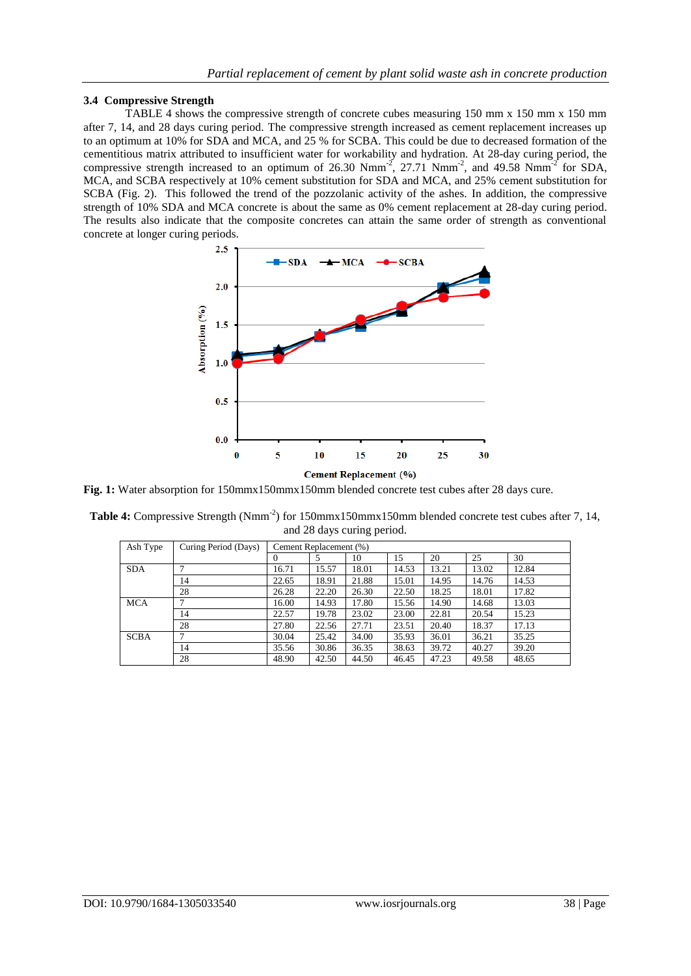# **3.4 Compressive Strength**

TABLE 4 shows the compressive strength of concrete cubes measuring 150 mm x 150 mm x 150 mm after 7, 14, and 28 days curing period. The compressive strength increased as cement replacement increases up to an optimum at 10% for SDA and MCA, and 25 % for SCBA. This could be due to decreased formation of the cementitious matrix attributed to insufficient water for workability and hydration. At 28-day curing period, the compressive strength increased to an optimum of 26.30  $Nmm^{-2}$ , 27.71  $Nmm^{-2}$ , and 49.58  $Nmm^{-2}$  for SDA, MCA, and SCBA respectively at 10% cement substitution for SDA and MCA, and 25% cement substitution for SCBA (Fig. 2). This followed the trend of the pozzolanic activity of the ashes. In addition, the compressive strength of 10% SDA and MCA concrete is about the same as 0% cement replacement at 28-day curing period. The results also indicate that the composite concretes can attain the same order of strength as conventional concrete at longer curing periods.



**Fig. 1:** Water absorption for 150mmx150mmx150mm blended concrete test cubes after 28 days cure.

| <b>Table 4:</b> Compressive Strength (Nmm <sup>-2</sup> ) for 150mmx150mmx150mm blended concrete test cubes after 7, 14, |  |
|--------------------------------------------------------------------------------------------------------------------------|--|
| and 28 days curing period.                                                                                               |  |

| Ash Type    | Curing Period (Days) | Cement Replacement (%) |       |       |       |       |       |       |
|-------------|----------------------|------------------------|-------|-------|-------|-------|-------|-------|
|             |                      | $\Omega$               | 5     | 10    | 15    | 20    | 25    | 30    |
| <b>SDA</b>  |                      | 16.71                  | 15.57 | 18.01 | 14.53 | 13.21 | 13.02 | 12.84 |
|             | 14                   | 22.65                  | 18.91 | 21.88 | 15.01 | 14.95 | 14.76 | 14.53 |
|             | 28                   | 26.28                  | 22.20 | 26.30 | 22.50 | 18.25 | 18.01 | 17.82 |
| <b>MCA</b>  |                      | 16.00                  | 14.93 | 17.80 | 15.56 | 14.90 | 14.68 | 13.03 |
|             | 14                   | 22.57                  | 19.78 | 23.02 | 23.00 | 22.81 | 20.54 | 15.23 |
|             | 28                   | 27.80                  | 22.56 | 27.71 | 23.51 | 20.40 | 18.37 | 17.13 |
| <b>SCBA</b> |                      | 30.04                  | 25.42 | 34.00 | 35.93 | 36.01 | 36.21 | 35.25 |
|             | 14                   | 35.56                  | 30.86 | 36.35 | 38.63 | 39.72 | 40.27 | 39.20 |
|             | 28                   | 48.90                  | 42.50 | 44.50 | 46.45 | 47.23 | 49.58 | 48.65 |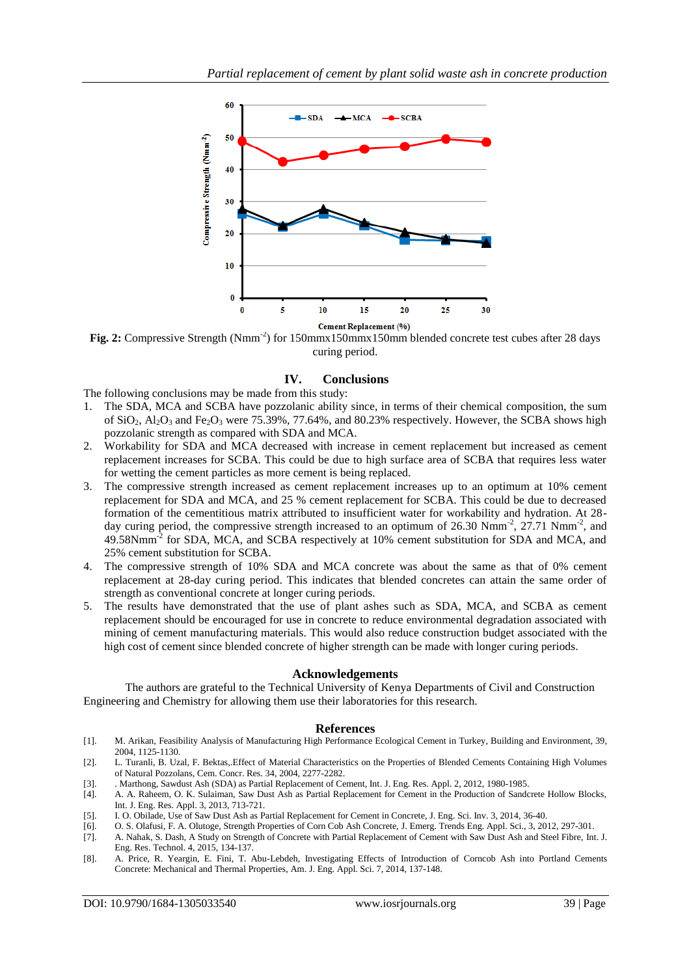

Fig. 2: Compressive Strength (Nmm<sup>-2</sup>) for 150mmx150mmx150mm blended concrete test cubes after 28 days curing period.

# **IV. Conclusions**

The following conclusions may be made from this study:

- 1. The SDA, MCA and SCBA have pozzolanic ability since, in terms of their chemical composition, the sum of  $SiO_2$ ,  $Al_2O_3$  and Fe<sub>2</sub>O<sub>3</sub> were 75.39%, 77.64%, and 80.23% respectively. However, the SCBA shows high pozzolanic strength as compared with SDA and MCA.
- 2. Workability for SDA and MCA decreased with increase in cement replacement but increased as cement replacement increases for SCBA. This could be due to high surface area of SCBA that requires less water for wetting the cement particles as more cement is being replaced.
- 3. The compressive strength increased as cement replacement increases up to an optimum at 10% cement replacement for SDA and MCA, and 25 % cement replacement for SCBA. This could be due to decreased formation of the cementitious matrix attributed to insufficient water for workability and hydration. At 28 day curing period, the compressive strength increased to an optimum of 26.30 Nmm<sup>-2</sup>, 27.71 Nmm<sup>-2</sup>, and 49.58Nmm<sup>-2</sup> for SDA, MCA, and SCBA respectively at 10% cement substitution for SDA and MCA, and 25% cement substitution for SCBA.
- 4. The compressive strength of 10% SDA and MCA concrete was about the same as that of 0% cement replacement at 28-day curing period. This indicates that blended concretes can attain the same order of strength as conventional concrete at longer curing periods.
- 5. The results have demonstrated that the use of plant ashes such as SDA, MCA, and SCBA as cement replacement should be encouraged for use in concrete to reduce environmental degradation associated with mining of cement manufacturing materials. This would also reduce construction budget associated with the high cost of cement since blended concrete of higher strength can be made with longer curing periods.

#### **Acknowledgements**

The authors are grateful to the Technical University of Kenya Departments of Civil and Construction Engineering and Chemistry for allowing them use their laboratories for this research.

#### **References**

- [1]. M. Arikan, Feasibility Analysis of Manufacturing High Performance Ecological Cement in Turkey, Building and Environment, 39, 2004, 1125-1130.
- [2]. L. Turanli, B. Uzal, F. Bektas,.Effect of Material Characteristics on the Properties of Blended Cements Containing High Volumes of Natural Pozzolans, Cem. Concr. Res. 34, 2004, 2277-2282.
- [3]. . Marthong, Sawdust Ash (SDA) as Partial Replacement of Cement, Int. J. Eng. Res. Appl. 2, 2012, 1980-1985.
- [4]. A. A. Raheem, O. K. Sulaiman, Saw Dust Ash as Partial Replacement for Cement in the Production of Sandcrete Hollow Blocks, Int. J. Eng. Res. Appl. 3, 2013, 713-721.
- [5]. I. O. Obilade, Use of Saw Dust Ash as Partial Replacement for Cement in Concrete, J. Eng. Sci. Inv. 3, 2014, 36-40.
- [6]. O. S. Olafusi, F. A. Olutoge, Strength Properties of Corn Cob Ash Concrete, J. Emerg. Trends Eng. Appl. Sci., 3, 2012, 297-301.
- [7]. A. Nahak, S. Dash, A Study on Strength of Concrete with Partial Replacement of Cement with Saw Dust Ash and Steel Fibre, Int. J. Eng. Res. Technol. 4, 2015, 134-137.
- [8]. A. Price, R. Yeargin, E. Fini, T. Abu-Lebdeh, Investigating Effects of Introduction of Corncob Ash into Portland Cements Concrete: Mechanical and Thermal Properties, Am. J. Eng. Appl. Sci. 7, 2014, 137-148.